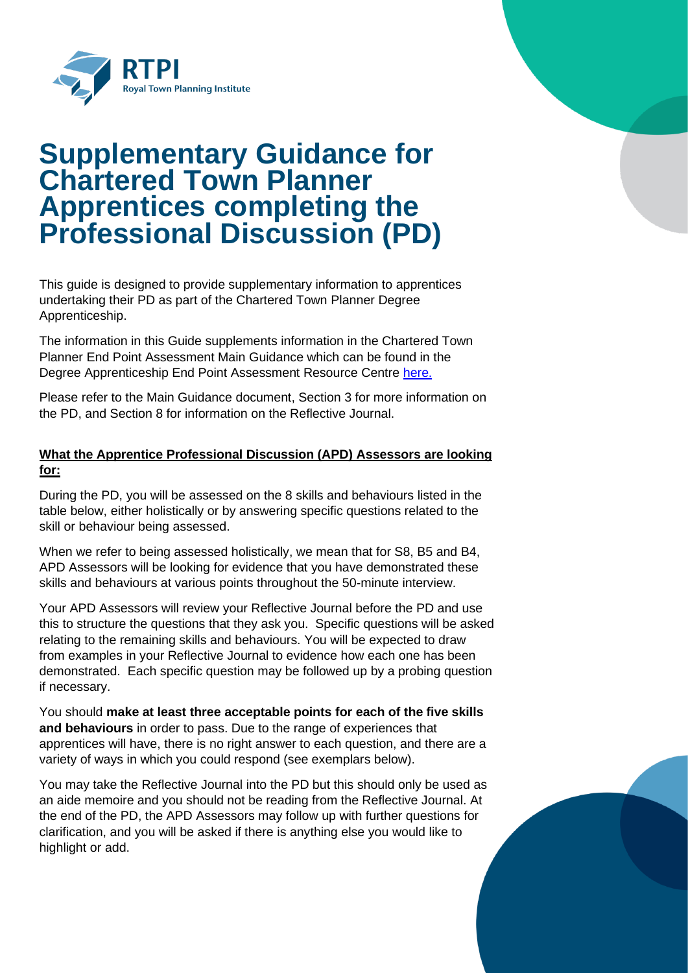

# **Supplementary Guidance for Chartered Town Planner Apprentices completing the Professional Discussion (PD)**

This guide is designed to provide supplementary information to apprentices undertaking their PD as part of the Chartered Town Planner Degree Apprenticeship.

The information in this Guide supplements information in the Chartered Town Planner End Point Assessment Main Guidance which can be found in the Degree Apprenticeship End Point Assessment Resource Centre [here.](https://www.rtpi.org.uk/membership/assessment-of-professional-competence/degree-apprenticeship-end-point-assessment/degree-apprenticeship-end-point-assessment-resource-centre/)

Please refer to the Main Guidance document, Section 3 for more information on the PD, and Section 8 for information on the Reflective Journal.

## **What the Apprentice Professional Discussion (APD) Assessors are looking for:**

During the PD, you will be assessed on the 8 skills and behaviours listed in the table below, either holistically or by answering specific questions related to the skill or behaviour being assessed.

When we refer to being assessed holistically, we mean that for S8, B5 and B4, APD Assessors will be looking for evidence that you have demonstrated these skills and behaviours at various points throughout the 50-minute interview.

Your APD Assessors will review your Reflective Journal before the PD and use this to structure the questions that they ask you. Specific questions will be asked relating to the remaining skills and behaviours. You will be expected to draw from examples in your Reflective Journal to evidence how each one has been demonstrated. Each specific question may be followed up by a probing question if necessary.

You should **make at least three acceptable points for each of the five skills and behaviours** in order to pass. Due to the range of experiences that apprentices will have, there is no right answer to each question, and there are a variety of ways in which you could respond (see exemplars below).

You may take the Reflective Journal into the PD but this should only be used as an aide memoire and you should not be reading from the Reflective Journal. At the end of the PD, the APD Assessors may follow up with further questions for clarification, and you will be asked if there is anything else you would like to highlight or add.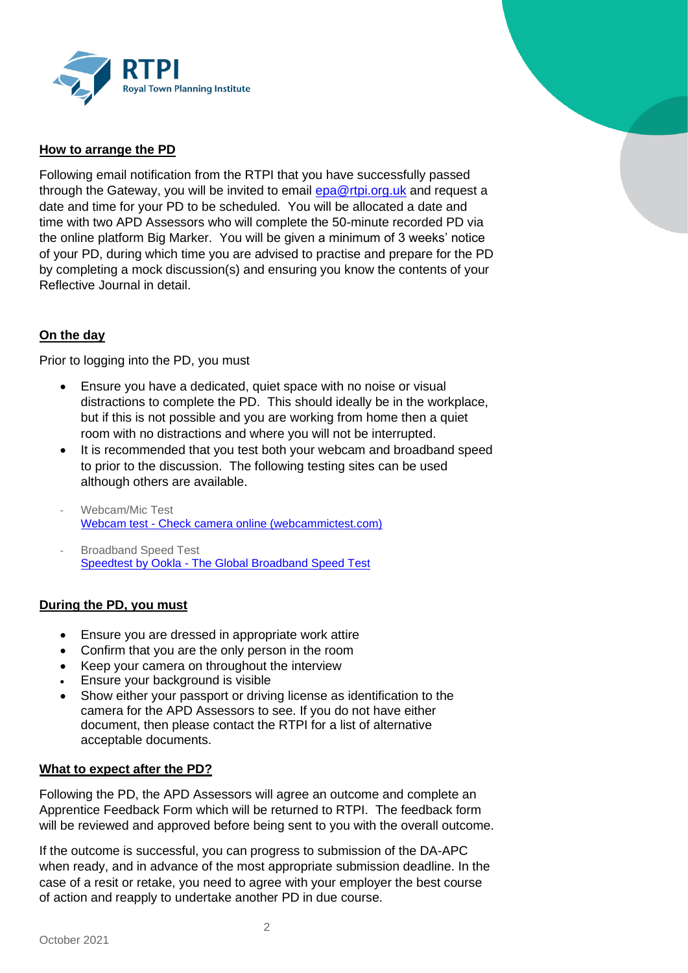

#### **How to arrange the PD**

Following email notification from the RTPI that you have successfully passed through the Gateway, you will be invited to email [epa@rtpi.org.uk](mailto:epa@rtpi.org.uk) and request a date and time for your PD to be scheduled. You will be allocated a date and time with two APD Assessors who will complete the 50-minute recorded PD via the online platform Big Marker. You will be given a minimum of 3 weeks' notice of your PD, during which time you are advised to practise and prepare for the PD by completing a mock discussion(s) and ensuring you know the contents of your Reflective Journal in detail.

#### **On the day**

Prior to logging into the PD, you must

- Ensure you have a dedicated, quiet space with no noise or visual distractions to complete the PD. This should ideally be in the workplace, but if this is not possible and you are working from home then a quiet room with no distractions and where you will not be interrupted.
- It is recommended that you test both your webcam and broadband speed to prior to the discussion. The following testing sites can be used although others are available.
- Webcam/Mic Test Webcam test - [Check camera online \(webcammictest.com\)](https://protect-eu.mimecast.com/s/BhpACPNxjiKrL3uzKf2Q?domain=webcammictest.com/)
- Broadband Speed Test Speedtest by Ookla - [The Global Broadband Speed Test](https://protect-eu.mimecast.com/s/jOo0CQWykfkEwouP4-27?domain=speedtest.net/)

#### **During the PD, you must**

- Ensure you are dressed in appropriate work attire
- Confirm that you are the only person in the room
- Keep your camera on throughout the interview
- Ensure your background is visible
- Show either your passport or driving license as identification to the camera for the APD Assessors to see. If you do not have either document, then please contact the RTPI for a list of alternative acceptable documents.

#### **What to expect after the PD?**

Following the PD, the APD Assessors will agree an outcome and complete an Apprentice Feedback Form which will be returned to RTPI. The feedback form will be reviewed and approved before being sent to you with the overall outcome.

If the outcome is successful, you can progress to submission of the DA-APC when ready, and in advance of the most appropriate submission deadline. In the case of a resit or retake, you need to agree with your employer the best course of action and reapply to undertake another PD in due course.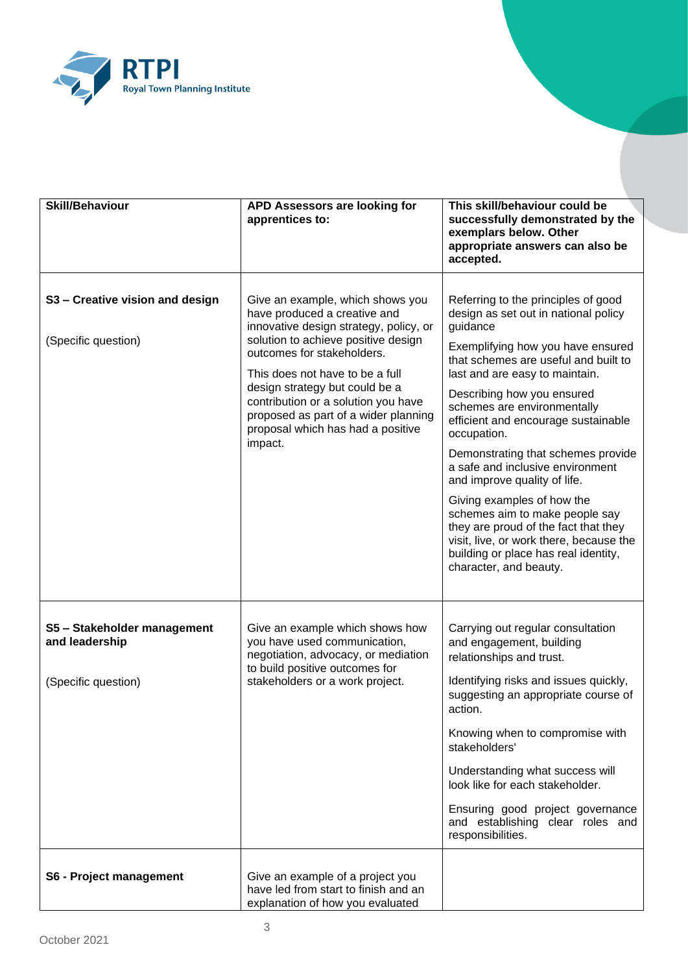

| <b>Skill/Behaviour</b>                                               | APD Assessors are looking for<br>apprentices to:                                                                                                                                                                                                                                                                                                                                    | This skill/behaviour could be<br>successfully demonstrated by the<br>exemplars below. Other<br>appropriate answers can also be<br>accepted.                                                                                                                                                                                                                                                                                                                                                                                                                                                                                                              |
|----------------------------------------------------------------------|-------------------------------------------------------------------------------------------------------------------------------------------------------------------------------------------------------------------------------------------------------------------------------------------------------------------------------------------------------------------------------------|----------------------------------------------------------------------------------------------------------------------------------------------------------------------------------------------------------------------------------------------------------------------------------------------------------------------------------------------------------------------------------------------------------------------------------------------------------------------------------------------------------------------------------------------------------------------------------------------------------------------------------------------------------|
| S3 - Creative vision and design<br>(Specific question)               | Give an example, which shows you<br>have produced a creative and<br>innovative design strategy, policy, or<br>solution to achieve positive design<br>outcomes for stakeholders.<br>This does not have to be a full<br>design strategy but could be a<br>contribution or a solution you have<br>proposed as part of a wider planning<br>proposal which has had a positive<br>impact. | Referring to the principles of good<br>design as set out in national policy<br>guidance<br>Exemplifying how you have ensured<br>that schemes are useful and built to<br>last and are easy to maintain.<br>Describing how you ensured<br>schemes are environmentally<br>efficient and encourage sustainable<br>occupation.<br>Demonstrating that schemes provide<br>a safe and inclusive environment<br>and improve quality of life.<br>Giving examples of how the<br>schemes aim to make people say<br>they are proud of the fact that they<br>visit, live, or work there, because the<br>building or place has real identity,<br>character, and beauty. |
| S5 - Stakeholder management<br>and leadership<br>(Specific question) | Give an example which shows how<br>you have used communication,<br>negotiation, advocacy, or mediation<br>to build positive outcomes for<br>stakeholders or a work project.                                                                                                                                                                                                         | Carrying out regular consultation<br>and engagement, building<br>relationships and trust.<br>Identifying risks and issues quickly,<br>suggesting an appropriate course of<br>action.<br>Knowing when to compromise with<br>stakeholders'<br>Understanding what success will<br>look like for each stakeholder.<br>Ensuring good project governance<br>and establishing clear roles and<br>responsibilities.                                                                                                                                                                                                                                              |
| S6 - Project management                                              | Give an example of a project you<br>have led from start to finish and an<br>explanation of how you evaluated                                                                                                                                                                                                                                                                        |                                                                                                                                                                                                                                                                                                                                                                                                                                                                                                                                                                                                                                                          |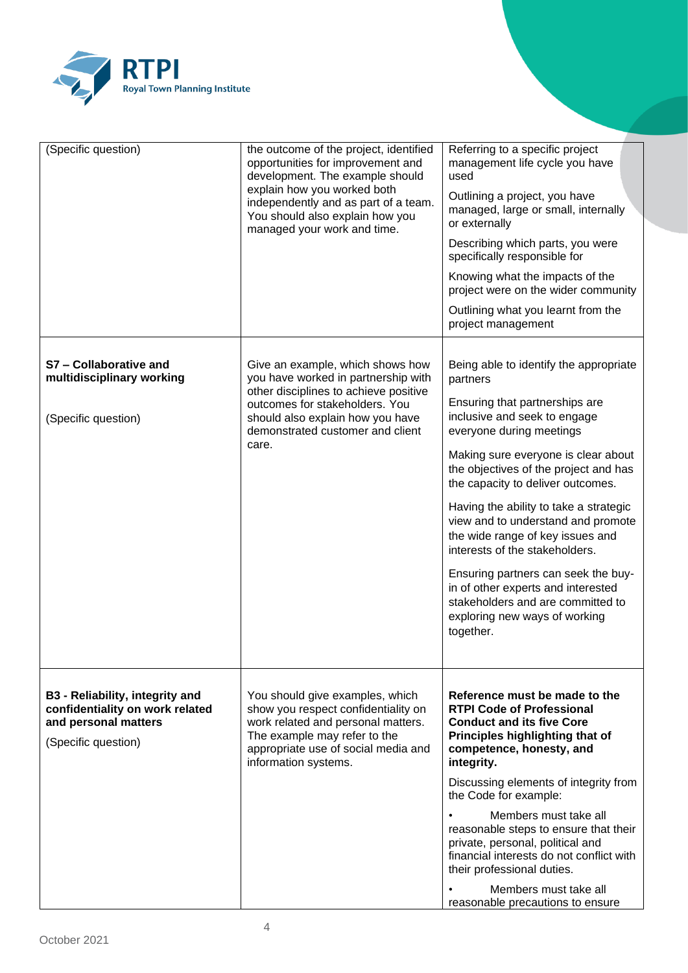

| (Specific question)                                                                                                      | the outcome of the project, identified<br>opportunities for improvement and<br>development. The example should<br>explain how you worked both<br>independently and as part of a team.<br>You should also explain how you<br>managed your work and time. | Referring to a specific project<br>management life cycle you have<br>used<br>Outlining a project, you have<br>managed, large or small, internally<br>or externally<br>Describing which parts, you were<br>specifically responsible for<br>Knowing what the impacts of the<br>project were on the wider community<br>Outlining what you learnt from the<br>project management                                                                                                                                                                                                                |
|--------------------------------------------------------------------------------------------------------------------------|---------------------------------------------------------------------------------------------------------------------------------------------------------------------------------------------------------------------------------------------------------|---------------------------------------------------------------------------------------------------------------------------------------------------------------------------------------------------------------------------------------------------------------------------------------------------------------------------------------------------------------------------------------------------------------------------------------------------------------------------------------------------------------------------------------------------------------------------------------------|
| S7 - Collaborative and<br>multidisciplinary working<br>(Specific question)                                               | Give an example, which shows how<br>you have worked in partnership with<br>other disciplines to achieve positive<br>outcomes for stakeholders. You<br>should also explain how you have<br>demonstrated customer and client<br>care.                     | Being able to identify the appropriate<br>partners<br>Ensuring that partnerships are<br>inclusive and seek to engage<br>everyone during meetings<br>Making sure everyone is clear about<br>the objectives of the project and has<br>the capacity to deliver outcomes.<br>Having the ability to take a strategic<br>view and to understand and promote<br>the wide range of key issues and<br>interests of the stakeholders.<br>Ensuring partners can seek the buy-<br>in of other experts and interested<br>stakeholders and are committed to<br>exploring new ways of working<br>together. |
| <b>B3 - Reliability, integrity and</b><br>confidentiality on work related<br>and personal matters<br>(Specific question) | You should give examples, which<br>show you respect confidentiality on<br>work related and personal matters.<br>The example may refer to the<br>appropriate use of social media and<br>information systems.                                             | Reference must be made to the<br><b>RTPI Code of Professional</b><br><b>Conduct and its five Core</b><br>Principles highlighting that of<br>competence, honesty, and<br>integrity.<br>Discussing elements of integrity from<br>the Code for example:<br>Members must take all<br>reasonable steps to ensure that their<br>private, personal, political and<br>financial interests do not conflict with<br>their professional duties.<br>Members must take all<br>reasonable precautions to ensure                                                                                           |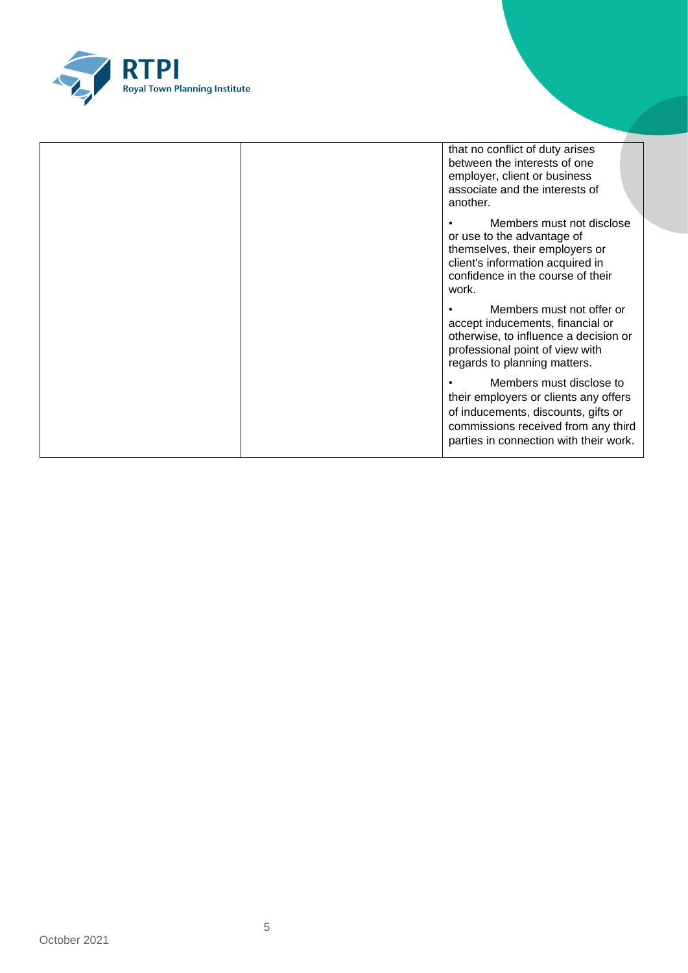

|  | that no conflict of duty arises<br>between the interests of one<br>employer, client or business<br>associate and the interests of<br>another.                                             |
|--|-------------------------------------------------------------------------------------------------------------------------------------------------------------------------------------------|
|  | Members must not disclose<br>or use to the advantage of<br>themselves, their employers or<br>client's information acquired in<br>confidence in the course of their<br>work.               |
|  | Members must not offer or<br>accept inducements, financial or<br>otherwise, to influence a decision or<br>professional point of view with<br>regards to planning matters.                 |
|  | Members must disclose to<br>their employers or clients any offers<br>of inducements, discounts, gifts or<br>commissions received from any third<br>parties in connection with their work. |